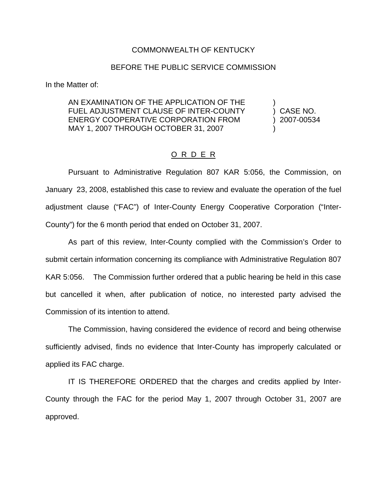## COMMONWEALTH OF KENTUCKY

## BEFORE THE PUBLIC SERVICE COMMISSION

In the Matter of:

AN EXAMINATION OF THE APPLICATION OF THE FUEL ADJUSTMENT CLAUSE OF INTER-COUNTY (CASE NO. ENERGY COOPERATIVE CORPORATION FROM ) 2007-00534 MAY 1, 2007 THROUGH OCTOBER 31, 2007

## O R D E R

Pursuant to Administrative Regulation 807 KAR 5:056, the Commission, on January 23, 2008, established this case to review and evaluate the operation of the fuel adjustment clause ("FAC") of Inter-County Energy Cooperative Corporation ("Inter-County") for the 6 month period that ended on October 31, 2007.

As part of this review, Inter-County complied with the Commission's Order to submit certain information concerning its compliance with Administrative Regulation 807 KAR 5:056. The Commission further ordered that a public hearing be held in this case but cancelled it when, after publication of notice, no interested party advised the Commission of its intention to attend.

The Commission, having considered the evidence of record and being otherwise sufficiently advised, finds no evidence that Inter-County has improperly calculated or applied its FAC charge.

IT IS THEREFORE ORDERED that the charges and credits applied by Inter-County through the FAC for the period May 1, 2007 through October 31, 2007 are approved.